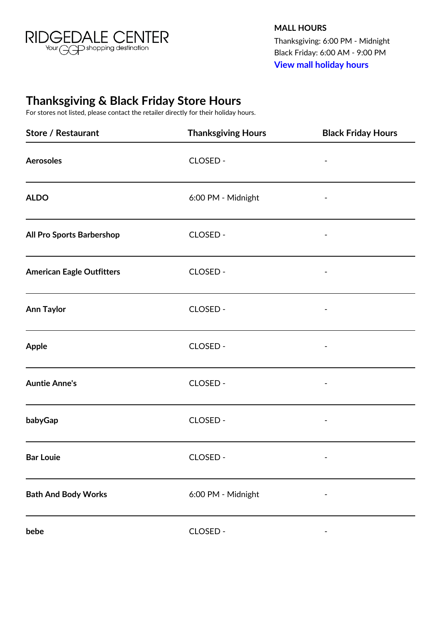

**MALL HOURS** Thanksgiving: 6:00 PM - Midnight Black Friday: 6:00 AM - 9:00 PM **[View mall holiday hours](http://www.ridgedalecenter.com/en/visit/holiday-hours.html)**

## **Thanksgiving & Black Friday Store Hours**

For stores not listed, please contact the retailer directly for their holiday hours.

| <b>Store / Restaurant</b>        | <b>Thanksgiving Hours</b> | <b>Black Friday Hours</b> |
|----------------------------------|---------------------------|---------------------------|
| <b>Aerosoles</b>                 | CLOSED -                  |                           |
| <b>ALDO</b>                      | 6:00 PM - Midnight        |                           |
| All Pro Sports Barbershop        | CLOSED -                  |                           |
| <b>American Eagle Outfitters</b> | CLOSED -                  |                           |
| <b>Ann Taylor</b>                | CLOSED -                  |                           |
| Apple                            | CLOSED -                  |                           |
| <b>Auntie Anne's</b>             | CLOSED -                  |                           |
| babyGap                          | CLOSED -                  |                           |
| <b>Bar Louie</b>                 | CLOSED -                  |                           |
| <b>Bath And Body Works</b>       | 6:00 PM - Midnight        |                           |
| bebe                             | CLOSED -                  |                           |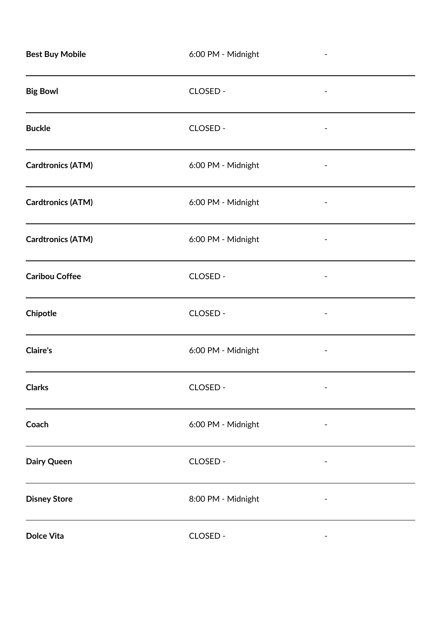| <b>Best Buy Mobile</b>   | 6:00 PM - Midnight |  |
|--------------------------|--------------------|--|
| <b>Big Bowl</b>          | CLOSED -           |  |
| <b>Buckle</b>            | CLOSED -           |  |
| <b>Cardtronics (ATM)</b> | 6:00 PM - Midnight |  |
| <b>Cardtronics (ATM)</b> | 6:00 PM - Midnight |  |
| <b>Cardtronics (ATM)</b> | 6:00 PM - Midnight |  |
| <b>Caribou Coffee</b>    | CLOSED -           |  |
| Chipotle                 | CLOSED -           |  |
| <b>Claire's</b>          | 6:00 PM - Midnight |  |
| <b>Clarks</b>            | CLOSED -           |  |
| Coach                    | 6:00 PM - Midnight |  |
| Dairy Queen              | CLOSED -           |  |
| <b>Disney Store</b>      | 8:00 PM - Midnight |  |
| <b>Dolce Vita</b>        | CLOSED -           |  |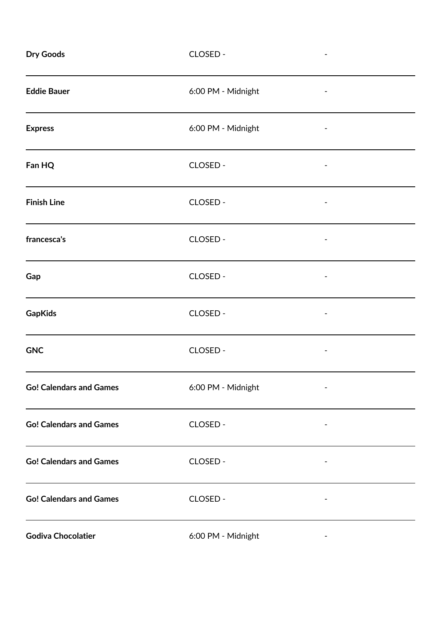| <b>Dry Goods</b>               | CLOSED -           |  |
|--------------------------------|--------------------|--|
| <b>Eddie Bauer</b>             | 6:00 PM - Midnight |  |
| <b>Express</b>                 | 6:00 PM - Midnight |  |
| Fan HQ                         | CLOSED -           |  |
| <b>Finish Line</b>             | CLOSED -           |  |
| francesca's                    | CLOSED -           |  |
| Gap                            | CLOSED -           |  |
| <b>GapKids</b>                 | CLOSED -           |  |
| <b>GNC</b>                     | CLOSED -           |  |
| <b>Go! Calendars and Games</b> | 6:00 PM - Midnight |  |
| <b>Go! Calendars and Games</b> | CLOSED -           |  |
| <b>Go! Calendars and Games</b> | CLOSED -           |  |
| <b>Go! Calendars and Games</b> | CLOSED -           |  |
| <b>Godiva Chocolatier</b>      | 6:00 PM - Midnight |  |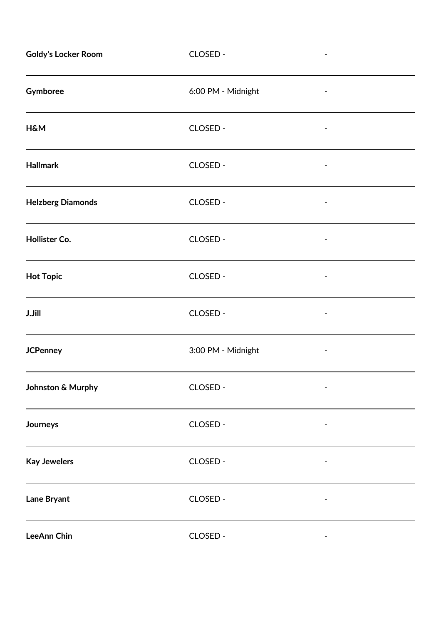| <b>Goldy's Locker Room</b> | CLOSED -           |  |
|----------------------------|--------------------|--|
| Gymboree                   | 6:00 PM - Midnight |  |
| <b>H&amp;M</b>             | CLOSED -           |  |
| <b>Hallmark</b>            | CLOSED -           |  |
| <b>Helzberg Diamonds</b>   | CLOSED -           |  |
| Hollister Co.              | CLOSED -           |  |
| <b>Hot Topic</b>           | CLOSED -           |  |
| <b>J.Jill</b>              | CLOSED -           |  |
| <b>JCPenney</b>            | 3:00 PM - Midnight |  |
| Johnston & Murphy          | CLOSED -           |  |
| Journeys                   | CLOSED -           |  |
| <b>Kay Jewelers</b>        | CLOSED -           |  |
| Lane Bryant                | CLOSED -           |  |
| LeeAnn Chin                | CLOSED -           |  |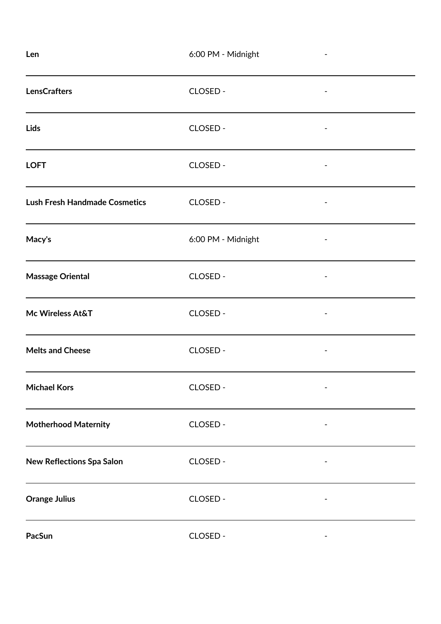| Len                                  | 6:00 PM - Midnight |  |
|--------------------------------------|--------------------|--|
| <b>LensCrafters</b>                  | CLOSED -           |  |
| Lids                                 | CLOSED -           |  |
| <b>LOFT</b>                          | CLOSED -           |  |
| <b>Lush Fresh Handmade Cosmetics</b> | CLOSED -           |  |
| Macy's                               | 6:00 PM - Midnight |  |
| <b>Massage Oriental</b>              | CLOSED -           |  |
| Mc Wireless At&T                     | CLOSED -           |  |
| <b>Melts and Cheese</b>              | <b>CLOSED -</b>    |  |
| <b>Michael Kors</b>                  | CLOSED -           |  |
| <b>Motherhood Maternity</b>          | CLOSED -           |  |
| New Reflections Spa Salon            | CLOSED -           |  |
| <b>Orange Julius</b>                 | CLOSED -           |  |
| PacSun                               | CLOSED -           |  |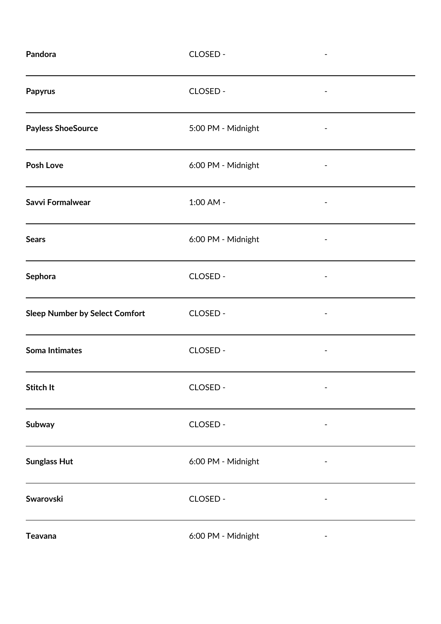| Pandora                               | CLOSED -           |  |
|---------------------------------------|--------------------|--|
| Papyrus                               | CLOSED -           |  |
| <b>Payless ShoeSource</b>             | 5:00 PM - Midnight |  |
| <b>Posh Love</b>                      | 6:00 PM - Midnight |  |
| <b>Savvi Formalwear</b>               | 1:00 AM -          |  |
| <b>Sears</b>                          | 6:00 PM - Midnight |  |
| Sephora                               | CLOSED -           |  |
| <b>Sleep Number by Select Comfort</b> | CLOSED -           |  |
| <b>Soma Intimates</b>                 | CLOSED -           |  |
| Stitch It                             | CLOSED -           |  |
| Subway                                | CLOSED -           |  |
| <b>Sunglass Hut</b>                   | 6:00 PM - Midnight |  |
| Swarovski                             | CLOSED -           |  |
| <b>Teavana</b>                        | 6:00 PM - Midnight |  |